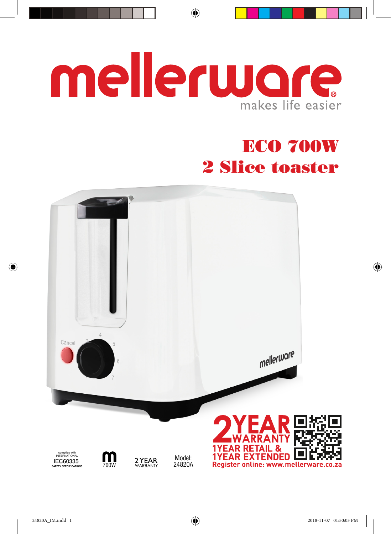## mellerware makes life easier

 $\bigoplus$ 

## ECO 700W 2 Slice toaster



◈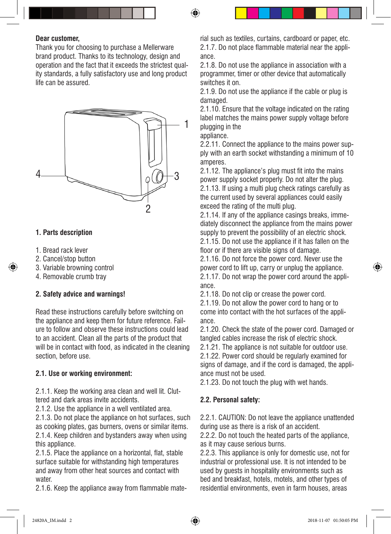#### **Dear customer,**

Thank you for choosing to purchase a Mellerware brand product. Thanks to its technology, design and operation and the fact that it exceeds the strictest quality standards, a fully satisfactory use and long product life can be assured.



#### **1. Parts description**

- 1. Bread rack lever
- 2. Cancel/stop button
- 3. Variable browning control
- 4. Removable crumb tray

#### **2. Safety advice and warnings!**

Read these instructions carefully before switching on the appliance and keep them for future reference. Failure to follow and observe these instructions could lead to an accident. Clean all the parts of the product that will be in contact with food, as indicated in the cleaning section, before use.

#### **2.1. Use or working environment:**

2.1.1. Keep the working area clean and well lit. Cluttered and dark areas invite accidents.

2.1.2. Use the appliance in a well ventilated area.

2.1.3. Do not place the appliance on hot surfaces, such as cooking plates, gas burners, ovens or similar items. 2.1.4. Keep children and bystanders away when using this appliance.

2.1.5. Place the appliance on a horizontal, flat, stable surface suitable for withstanding high temperatures and away from other heat sources and contact with water.

2.1.6. Keep the appliance away from flammable mate-

rial such as textiles, curtains, cardboard or paper, etc. 2.1.7. Do not place flammable material near the appliance.

2.1.8. Do not use the appliance in association with a programmer, timer or other device that automatically switches it on.

2.1.9. Do not use the appliance if the cable or plug is damaged.

2.1.10. Ensure that the voltage indicated on the rating label matches the mains power supply voltage before plugging in the

appliance.

2.2.11. Connect the appliance to the mains power supply with an earth socket withstanding a minimum of 10 amperes.

2.1.12. The appliance's plug must fit into the mains power supply socket properly. Do not alter the plug. 2.1.13. If using a multi plug check ratings carefully as the current used by several appliances could easily exceed the rating of the multi plug.

2.1.14. If any of the appliance casings breaks, immediately disconnect the appliance from the mains power supply to prevent the possibility of an electric shock. 2.1.15. Do not use the appliance if it has fallen on the floor or if there are visible signs of damage.

2.1.16. Do not force the power cord. Never use the power cord to lift up, carry or unplug the appliance. 2.1.17. Do not wrap the power cord around the appliance.

2.1.18. Do not clip or crease the power cord.

2.1.19. Do not allow the power cord to hang or to come into contact with the hot surfaces of the appliance.

2.1.20. Check the state of the power cord. Damaged or tangled cables increase the risk of electric shock.

2.1.21. The appliance is not suitable for outdoor use. 2.1.22. Power cord should be regularly examined for signs of damage, and if the cord is damaged, the appliance must not be used.

2.1.23. Do not touch the plug with wet hands.

#### **2.2. Personal safety:**

2.2.1. CAUTION: Do not leave the appliance unattended during use as there is a risk of an accident.

2.2.2. Do not touch the heated parts of the appliance, as it may cause serious burns.

2.2.3. This appliance is only for domestic use, not for industrial or professional use. It is not intended to be used by guests in hospitality environments such as bed and breakfast, hotels, motels, and other types of residential environments, even in farm houses, areas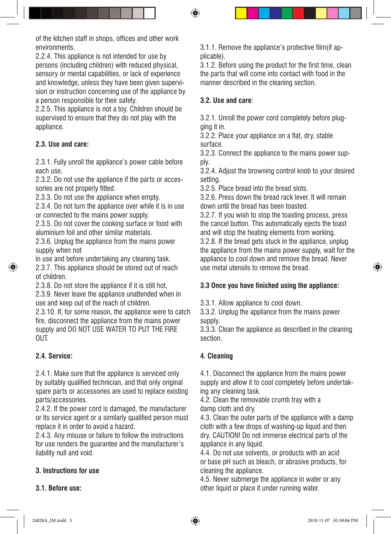of the kitchen staff in shops, offices and other work environments.

2.2.4. This appliance is not intended for use by persons (including children) with reduced physical, sensory or mental capabilities, or lack of experience and knowledge, unless they have been given supervision or instruction concerning use of the appliance by a person responsible for their safety.

2.2.5. This appliance is not a toy. Children should be supervised to ensure that they do not play with the appliance.

#### **2.3. Use and care:**

2.3.1. Fully unroll the appliance's power cable before each use.

2.3.2. Do not use the appliance if the parts or accessories are not properly fitted.

2.3.3. Do not use the appliance when empty.

2.3.4. Do not turn the appliance over while it is in use or connected to the mains power supply.

2.3.5. Do not cover the cooking surface or food with aluminium foil and other similar materials.

2.3.6. Unplug the appliance from the mains power supply when not

in use and before undertaking any cleaning task. 2.3.7. This appliance should be stored out of reach of children.

2.3.8. Do not store the appliance if it is still hot.

2.3.9. Never leave the appliance unattended when in use and keep out of the reach of children.

2.3.10. If, for some reason, the appliance were to catch fire, disconnect the appliance from the mains power supply and DO NOT USE WATER TO PUT THE FIRE OUT.

#### **2.4. Service:**

2.4.1. Make sure that the appliance is serviced only by suitably qualified technician, and that only original spare parts or accessories are used to replace existing parts/accessories.

2.4.2. If the power cord is damaged, the manufacturer or its service agent or a similarly qualified person must replace it in order to avoid a hazard.

2.4.3. Any misuse or failure to follow the instructions for use renders the guarantee and the manufacturer's liability null and void.

#### **3. Instructions for use**

**3.1. Before use:**

3.1.1. Remove the appliance's protective film(if applicable).

3.1.2. Before using the product for the first time, clean the parts that will come into contact with food in the manner described in the cleaning section.

#### **3.2. Use and care**:

3.2.1. Unroll the power cord completely before plugging it in.

3.2.2. Place your appliance on a flat, dry, stable surface.

3.2.3. Connect the appliance to the mains power supply.

3.2.4. Adjust the browning control knob to your desired setting.

3.2.5. Place bread into the bread slots.

3.2.6. Press down the bread rack lever. It will remain down until the bread has been toasted.

3.2.7. If you wish to stop the toasting process, press the cancel button. This automatically ejects the toast and will stop the heating elements from working.

3.2.8. If the bread gets stuck in the appliance, unplug the appliance from the mains power supply, wait for the appliance to cool down and remove the bread. Never use metal utensils to remove the bread.

#### **3.3 Once you have finished using the appliance:**

3.3.1. Allow appliance to cool down.

3.3.2. Unplug the appliance from the mains power supply.

3.3.3. Clean the appliance as described in the cleaning section.

#### **4. Cleaning**

4.1. Disconnect the appliance from the mains power supply and allow it to cool completely before undertaking any cleaning task.

4.2. Clean the removable crumb tray with a damp cloth and dry.

4.3. Clean the outer parts of the appliance with a damp cloth with a few drops of washing-up liquid and then dry. CAUTION! Do not immerse electrical parts of the appliance in any liquid.

4.4. Do not use solvents, or products with an acid or base pH such as bleach, or abrasive products, for cleaning the appliance.

4.5. Never submerge the appliance in water or any other liquid or place it under running water.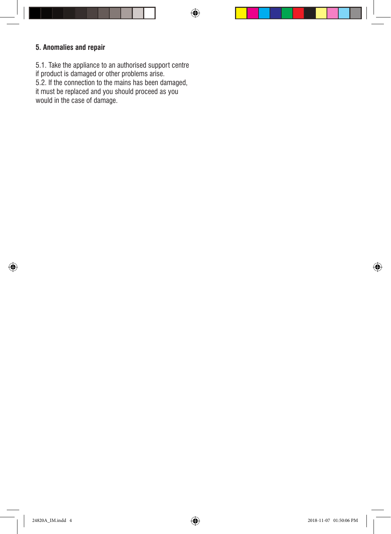#### **5. Anomalies and repair**

5.1. Take the appliance to an authorised support centre if product is damaged or other problems arise. 5.2. If the connection to the mains has been damaged, it must be replaced and you should proceed as you would in the case of damage.

◈

⊕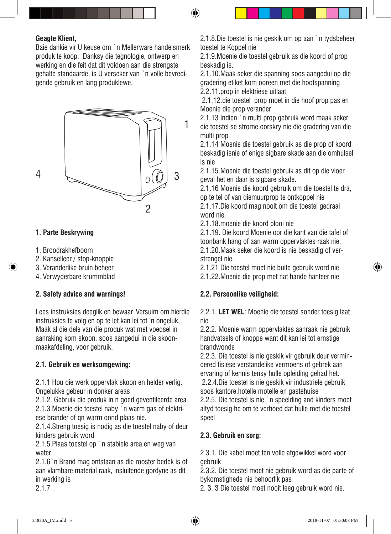#### **Geagte Klient,**

Baie dankie vir U keuse om `n Mellerware handelsmerk produk te koop. Danksy die tegnologie, ontwerp en werking en die feit dat dit voldoen aan die strengste gehalte standaarde, is U verseker van `n volle bevredigende gebruik en lang produklewe.



#### **1. Parte Beskrywing**

- 1. Broodrakhefboom
- 2. Kanselleer / stop-knoppie
- 3. Veranderlike bruin beheer
- 4. Verwyderbare krummblad

#### **2. Safety advice and warnings!**

Lees instruksies deeglik en bewaar. Versuim om hierdie instruksies te volg en op te let kan lei tot 'n ongeluk. Maak al die dele van die produk wat met voedsel in aanraking kom skoon, soos aangedui in die skoonmaakafdeling, voor gebruik.

#### **2.1. Gebruik en werksomgewing:**

2.1.1 Hou die werk oppervlak skoon en helder verlig. Ongelukke gebeur in donker areas

2.1.2. Gebruik die produk in n goed geventileerde area 2.1.3 Moenie die toestel naby `n warm gas of elektriese brander of qn warm oond plaas nie.

2.1.4.Streng toesig is nodig as die toestel naby of deur kinders gebruik word

2.1.5.Plaas toestel op `n stabiele area en weg van water

2.1.6`n Brand mag ontstaan as die rooster bedek is of aan vlambare material raak, insluitende gordyne as dit in werking is

2.1.7 .

2.1.8.Die toestel is nie geskik om op aan `n tydsbeheer toestel te Koppel nie

⊕

2.1.9.Moenie die toestel gebruik as die koord of prop beskadig is.

2.1.10.Maak seker die spanning soos aangedui op die gradering etiket kom ooreen met die hoofspanning 2.2.11.prop in elektriese uitlaat

 2.1.12.die toestel prop moet in die hoof prop pas en Moenie die prop verander

2.1.13 Indien `n multi prop gebruik word maak seker die toestel se strome oorskry nie die gradering van die multi prop

2.1.14 Moenie die toestel gebruik as die prop of koord beskadig isnie of enige sigbare skade aan die omhulsel is nie

2.1.15.Moenie die toestel gebruik as dit op die vloer geval het en daar is sigbare skade.

2.1.16 Moenie die koord gebruik om die toestel te dra, op te tel of van diemuurprop te ontkoppel nie

2.1.17.Die koord mag nooit om die toestel gedraai word nie.

2.1.18.moenie die koord plooi nie

2.1.19. Die koord Moenie oor die kant van die tafel of toonbank hang of aan warm oppervlaktes raak nie. 2.1.20.Maak seker die koord is nie beskadig of ver-

strengel nie. 2.1.21 Die toestel moet nie buite gebruik word nie 2.1.22.Moenie die prop met nat hande hanteer nie

#### **2.2. Persoonlike veiligheid:**

2.2.1. **LET WEL**: Moenie die toestel sonder toesig laat nie

2.2.2. Moenie warm oppervlaktes aanraak nie gebruik handvatsels of knoppe want dit kan lei tot ernstige brandwonde

2.2.3. Die toestel is nie geskik vir gebruik deur vermindered fisiese verstandelike vermoens of gebrek aan ervaring of kennis tensy hulle opleiding gehad het. 2.2.4.Die toestel is nie geskik vir industriele gebruik soos kantore,hotelle motelle en gastehuise 2.2.5. Die toestel is nie `n speelding and kinders moet

altyd toesig he om te verhoed dat hulle met die toestel speel

#### **2.3. Gebruik en sorg:**

2.3.1. Die kabel moet ten volle afgewikkel word voor gebruik

2.3.2. Die toestel moet nie gebruik word as die parte of bykomstighede nie behoorlik pas

2. 3. 3 Die toestel moet nooit leeg gebruik word nie.

♠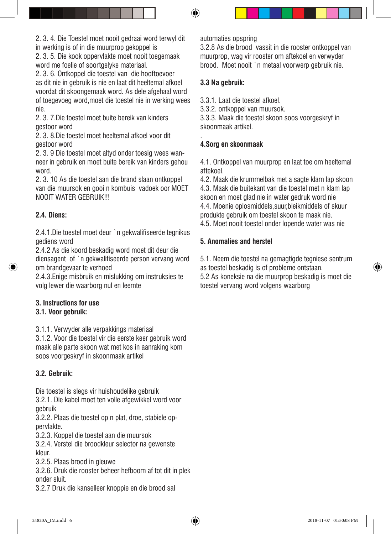2. 3. 4. Die Toestel moet nooit gedraai word terwyl dit in werking is of in die muurprop gekoppel is

2. 3. 5. Die kook oppervlakte moet nooit toegemaak word me foelie of soortgelyke materiaal.

2. 3. 6. Ontkoppel die toestel van die hooftoevoer as dit nie in gebruik is nie en laat dit heeltemal afkoel voordat dit skoongemaak word. As dele afgehaal word of toegevoeg word,moet die toestel nie in werking wees nie.

2. 3. 7.Die toestel moet buite bereik van kinders gestoor word

2. 3. 8.Die toestel moet heeltemal afkoel voor dit gestoor word

2. 3. 9 Die toestel moet altyd onder toesig wees wanneer in gebruik en moet buite bereik van kinders gehou word.

2. 3. 10 As die toestel aan die brand slaan ontkoppel van die muursok en gooi n kombuis vadoek oor MOET NOOIT WATER GEBRUIK!!!

#### **2.4. Diens:**

2.4.1.Die toestel moet deur `n gekwalifiseerde tegnikus gediens word

2.4.2 As die koord beskadig word moet dit deur die diensagent of `n gekwalifiseerde person vervang word om brandgevaar te verhoed

2.4.3.Enige misbruik en mislukking om instruksies te volg lewer die waarborg nul en leemte

#### **3. Instructions for use 3.1. Voor gebruik:**

3.1.1. Verwyder alle verpakkings materiaal

3.1.2. Voor die toestel vir die eerste keer gebruik word maak alle parte skoon wat met kos in aanraking kom soos voorgeskryf in skoonmaak artikel

#### **3.2. Gebruik:**

Die toestel is slegs vir huishoudelike gebruik 3.2.1. Die kabel moet ten volle afgewikkel word voor gebruik

3.2.2. Plaas die toestel op n plat, droe, stabiele oppervlakte.

3.2.3. Koppel die toestel aan die muursok

3.2.4. Verstel die broodkleur selector na gewenste kleur.

3.2.5. Plaas brood in gleuwe

3.2.6. Druk die rooster beheer hefboom af tot dit in plek onder sluit.

3.2.7 Druk die kanselleer knoppie en die brood sal

automaties opspring

3.2.8 As die brood vassit in die rooster ontkoppel van muurprop, wag vir rooster om aftekoel en verwyder brood. Moet nooit `n metaal voorwerp gebruik nie.

#### **3.3 Na gebruik:**

3.3.1. Laat die toestel afkoel.

3.3.2. ontkoppel van muursok.

3.3.3. Maak die toestel skoon soos voorgeskryf in skoonmaak artikel.

#### . **4.Sorg en skoonmaak**

4.1. Ontkoppel van muurprop en laat toe om heeltemal aftekoel.

4.2. Maak die krummelbak met a sagte klam lap skoon 4.3. Maak die buitekant van die toestel met n klam lap skoon en moet glad nie in water gedruk word nie 4.4. Moenie oplosmiddels,suur,bleikmiddels of skuur produkte gebruik om toestel skoon te maak nie. 4.5. Moet nooit toestel onder lopende water was nie

#### **5. Anomalies and herstel**

5.1. Neem die toestel na gemagtigde tegniese sentrum as toestel beskadig is of probleme ontstaan. 5.2 As koneksie na die muurprop beskadig is moet die toestel vervang word volgens waarborg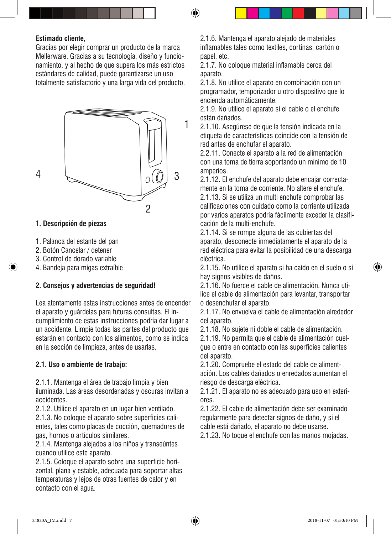#### **Estimado cliente,**

Gracias por elegir comprar un producto de la marca Mellerware. Gracias a su tecnología, diseño y funcionamiento, y al hecho de que supera los más estrictos estándares de calidad, puede garantizarse un uso totalmente satisfactorio y una larga vida del producto.



#### **1. Descripción de piezas**

- 1. Palanca del estante del pan
- 2. Botón Cancelar / detener
- 3. Control de dorado variable
- 4. Bandeja para migas extraíble

#### **2. Consejos y advertencias de seguridad!**

Lea atentamente estas instrucciones antes de encender el aparato y guárdelas para futuras consultas. El incumplimiento de estas instrucciones podría dar lugar a un accidente. Limpie todas las partes del producto que estarán en contacto con los alimentos, como se indica en la sección de limpieza, antes de usarlas.

#### **2.1. Uso o ambiente de trabajo:**

2.1.1. Mantenga el área de trabajo limpia y bien iluminada. Las áreas desordenadas y oscuras invitan a accidentes.

2.1.2. Utilice el aparato en un lugar bien ventilado.

2.1.3. No coloque el aparato sobre superficies calientes, tales como placas de cocción, quemadores de gas, hornos o artículos similares.

2.1.4. Mantenga alejados a los niños y transeúntes cuando utilice este aparato.

2.1.5. Coloque el aparato sobre una superficie horizontal, plana y estable, adecuada para soportar altas temperaturas y lejos de otras fuentes de calor y en contacto con el agua.

2.1.6. Mantenga el aparato alejado de materiales inflamables tales como textiles, cortinas, cartón o papel, etc.

2.1.7. No coloque material inflamable cerca del aparato.

2.1.8. No utilice el aparato en combinación con un programador, temporizador u otro dispositivo que lo encienda automáticamente.

2.1.9. No utilice el aparato si el cable o el enchufe están dañados.

2.1.10. Asegúrese de que la tensión indicada en la etiqueta de características coincide con la tensión de red antes de enchufar el aparato.

2.2.11. Conecte el aparato a la red de alimentación con una toma de tierra soportando un mínimo de 10 amperios.

2.1.12. El enchufe del aparato debe encajar correctamente en la toma de corriente. No altere el enchufe. 2.1.13. Si se utiliza un multi enchufe comprobar las calificaciones con cuidado como la corriente utilizada por varios aparatos podría fácilmente exceder la clasificación de la multi-enchufe.

2.1.14. Si se rompe alguna de las cubiertas del aparato, desconecte inmediatamente el aparato de la red eléctrica para evitar la posibilidad de una descarga eléctrica.

2.1.15. No utilice el aparato si ha caído en el suelo o si hay signos visibles de daños.

2.1.16. No fuerce el cable de alimentación. Nunca utilice el cable de alimentación para levantar, transportar o desenchufar el aparato.

2.1.17. No envuelva el cable de alimentación alrededor del aparato.

2.1.18. No sujete ni doble el cable de alimentación.

2.1.19. No permita que el cable de alimentación cuelgue o entre en contacto con las superficies calientes del aparato.

2.1.20. Compruebe el estado del cable de alimentación. Los cables dañados o enredados aumentan el riesgo de descarga eléctrica.

2.1.21. El aparato no es adecuado para uso en exteriores.

2.1.22. El cable de alimentación debe ser examinado regularmente para detectar signos de daño, y si el cable está dañado, el aparato no debe usarse.

2.1.23. No toque el enchufe con las manos mojadas.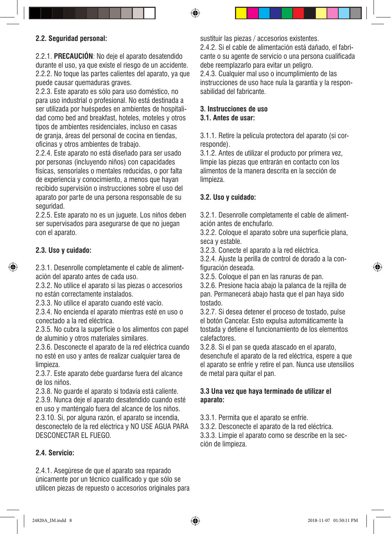#### **2.2. Seguridad personal:**

2.2.1. **PRECAUCIÓN**: No deje el aparato desatendido durante el uso, ya que existe el riesgo de un accidente. 2.2.2. No toque las partes calientes del aparato, ya que puede causar quemaduras graves.

2.2.3. Este aparato es sólo para uso doméstico, no para uso industrial o profesional. No está destinada a ser utilizada por huéspedes en ambientes de hospitalidad como bed and breakfast, hoteles, moteles y otros tipos de ambientes residenciales, incluso en casas de granja, áreas del personal de cocina en tiendas, oficinas y otros ambientes de trabajo.

2.2.4. Este aparato no está diseñado para ser usado por personas (incluyendo niños) con capacidades físicas, sensoriales o mentales reducidas, o por falta de experiencia y conocimiento, a menos que hayan recibido supervisión o instrucciones sobre el uso del aparato por parte de una persona responsable de su seguridad.

2.2.5. Este aparato no es un juguete. Los niños deben ser supervisados para asegurarse de que no juegan con el aparato.

#### **2.3. Uso y cuidado:**

2.3.1. Desenrolle completamente el cable de alimentación del aparato antes de cada uso.

2.3.2. No utilice el aparato si las piezas o accesorios no están correctamente instalados.

2.3.3. No utilice el aparato cuando esté vacío.

2.3.4. No encienda el aparato mientras esté en uso o conectado a la red eléctrica.

2.3.5. No cubra la superficie o los alimentos con papel de aluminio y otros materiales similares.

2.3.6. Desconecte el aparato de la red eléctrica cuando no esté en uso y antes de realizar cualquier tarea de limpieza.

2.3.7. Este aparato debe guardarse fuera del alcance de los niños.

2.3.8. No guarde el aparato si todavía está caliente. 2.3.9. Nunca deje el aparato desatendido cuando esté en uso y manténgalo fuera del alcance de los niños. 2.3.10. Si, por alguna razón, el aparato se incendia, desconectelo de la red eléctrica y NO USE AGUA PARA DESCONECTAR EL FUEGO.

#### **2.4. Servicio:**

2.4.1. Asegúrese de que el aparato sea reparado únicamente por un técnico cualificado y que sólo se utilicen piezas de repuesto o accesorios originales para sustituir las piezas / accesorios existentes.

2.4.2. Si el cable de alimentación está dañado, el fabricante o su agente de servicio o una persona cualificada debe reemplazarlo para evitar un peligro. 2.4.3. Cualquier mal uso o incumplimiento de las instrucciones de uso hace nula la garantía y la responsabilidad del fabricante.

#### **3. Instrucciones de uso 3.1. Antes de usar:**

3.1.1. Retire la película protectora del aparato (si corresponde).

3.1.2. Antes de utilizar el producto por primera vez, limpie las piezas que entrarán en contacto con los alimentos de la manera descrita en la sección de limpieza.

#### **3.2. Uso y cuidado:**

3.2.1. Desenrolle completamente el cable de alimentación antes de enchufarlo.

3.2.2. Coloque el aparato sobre una superficie plana, seca y estable.

3.2.3. Conecte el aparato a la red eléctrica.

3.2.4. Ajuste la perilla de control de dorado a la configuración deseada.

3.2.5. Coloque el pan en las ranuras de pan.

3.2.6. Presione hacia abajo la palanca de la rejilla de pan. Permanecerá abajo hasta que el pan haya sido tostado.

3.2.7. Si desea detener el proceso de tostado, pulse el botón Cancelar. Esto expulsa automáticamente la tostada y detiene el funcionamiento de los elementos calefactores.

3.2.8. Si el pan se queda atascado en el aparato, desenchufe el aparato de la red eléctrica, espere a que el aparato se enfríe y retire el pan. Nunca use utensilios de metal para quitar el pan.

#### **3.3 Una vez que haya terminado de utilizar el aparato:**

3.3.1. Permita que el aparato se enfríe.

3.3.2. Desconecte el aparato de la red eléctrica. 3.3.3. Limpie el aparato como se describe en la sec-

ción de limpieza.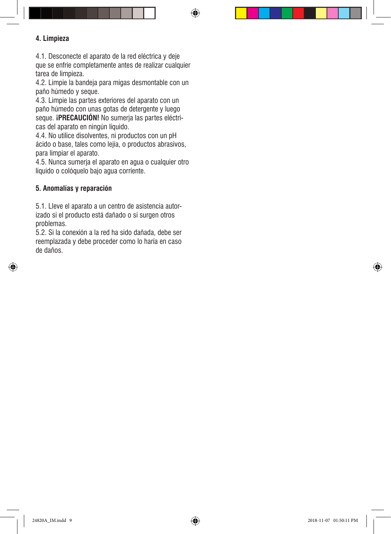#### **4. Limpieza**

4.1. Desconecte el aparato de la red eléctrica y deje que se enfríe completamente antes de realizar cualquier tarea de limpieza.

⊕

4.2. Limpie la bandeja para migas desmontable con un paño húmedo y seque.

4.3. Limpie las partes exteriores del aparato con un paño húmedo con unas gotas de detergente y luego seque. **¡PRECAUCIÓN!** No sumerja las partes eléctricas del aparato en ningún líquido.

4.4. No utilice disolventes, ni productos con un pH ácido o base, tales como lejía, o productos abrasivos, para limpiar el aparato.

4.5. Nunca sumerja el aparato en agua o cualquier otro líquido o colóquelo bajo agua corriente.

#### **5. Anomalías y reparación**

◈

5.1. Lleve el aparato a un centro de asistencia autorizado si el producto está dañado o si surgen otros problemas.

5.2. Si la conexión a la red ha sido dañada, debe ser reemplazada y debe proceder como lo haría en caso de daños.

⊕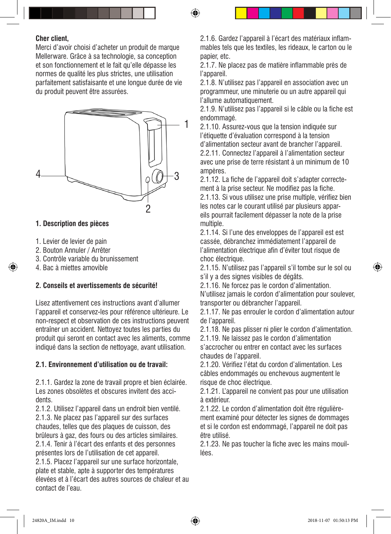#### **Cher client,**

Merci d'avoir choisi d'acheter un produit de marque Mellerware. Grâce à sa technologie, sa conception et son fonctionnement et le fait qu'elle dépasse les normes de qualité les plus strictes, une utilisation parfaitement satisfaisante et une longue durée de vie du produit peuvent être assurées.



#### **1. Description des pièces**

- 1. Levier de levier de pain
- 2. Bouton Annuler / Arrêter
- 3. Contrôle variable du brunissement
- 4. Bac à miettes amovible

#### **2. Conseils et avertissements de sécurité!**

Lisez attentivement ces instructions avant d'allumer l'appareil et conservez-les pour référence ultérieure. Le non-respect et observation de ces instructions peuvent entraîner un accident. Nettoyez toutes les parties du produit qui seront en contact avec les aliments, comme indiqué dans la section de nettoyage, avant utilisation.

#### **2.1. Environnement d'utilisation ou de travail:**

2.1.1. Gardez la zone de travail propre et bien éclairée. Les zones obsolètes et obscures invitent des accidents.

2.1.2. Utilisez l'appareil dans un endroit bien ventilé. 2.1.3. Ne placez pas l'appareil sur des surfaces chaudes, telles que des plaques de cuisson, des brûleurs à gaz, des fours ou des articles similaires. 2.1.4. Tenir à l'écart des enfants et des personnes présentes lors de l'utilisation de cet appareil.

2.1.5. Placez l'appareil sur une surface horizontale, plate et stable, apte à supporter des températures élevées et à l'écart des autres sources de chaleur et au contact de l'eau.

2.1.6. Gardez l'appareil à l'écart des matériaux inflammables tels que les textiles, les rideaux, le carton ou le papier, etc.

2.1.7. Ne placez pas de matière inflammable près de l'appareil.

2.1.8. N'utilisez pas l'appareil en association avec un programmeur, une minuterie ou un autre appareil qui l'allume automatiquement.

2.1.9. N'utilisez pas l'appareil si le câble ou la fiche est endommagé.

2.1.10. Assurez-vous que la tension indiquée sur l'étiquette d'évaluation correspond à la tension d'alimentation secteur avant de brancher l'appareil. 2.2.11. Connectez l'appareil à l'alimentation secteur avec une prise de terre résistant à un minimum de 10 ampères.

2.1.12. La fiche de l'appareil doit s'adapter correctement à la prise secteur. Ne modifiez pas la fiche. 2.1.13. Si vous utilisez une prise multiple, vérifiez bien les notes car le courant utilisé par plusieurs appareils pourrait facilement dépasser la note de la prise multiple.

2.1.14. Si l'une des enveloppes de l'appareil est est cassée, débranchez immédiatement l'appareil de l'alimentation électrique afin d'éviter tout risque de choc électrique.

2.1.15. N'utilisez pas l'appareil s'il tombe sur le sol ou s'il y a des signes visibles de dégâts.

2.1.16. Ne forcez pas le cordon d'alimentation. N'utilisez jamais le cordon d'alimentation pour soulever, transporter ou débrancher l'appareil.

2.1.17. Ne pas enrouler le cordon d'alimentation autour de l'appareil.

2.1.18. Ne pas plisser ni plier le cordon d'alimentation.

2.1.19. Ne laissez pas le cordon d'alimentation

s'accrocher ou entrer en contact avec les surfaces chaudes de l'appareil.

2.1.20. Vérifiez l'état du cordon d'alimentation. Les câbles endommagés ou enchevous augmentent le risque de choc électrique.

2.1.21. L'appareil ne convient pas pour une utilisation à extérieur.

2.1.22. Le cordon d'alimentation doit être régulièrement examiné pour détecter les signes de dommages et si le cordon est endommagé, l'appareil ne doit pas être utilisé.

2.1.23. Ne pas toucher la fiche avec les mains mouillées.

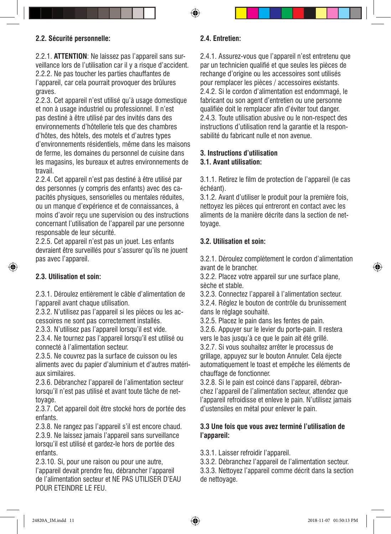#### **2.2. Sécurité personnelle:**

2.2.1. **ATTENTION**: Ne laissez pas l'appareil sans surveillance lors de l'utilisation car il y a risque d'accident. 2.2.2. Ne pas toucher les parties chauffantes de l'appareil, car cela pourrait provoquer des brûlures graves.

2.2.3. Cet appareil n'est utilisé qu'à usage domestique et non à usage industriel ou professionnel. Il n'est pas destiné à être utilisé par des invités dans des environnements d'hôtellerie tels que des chambres d'hôtes, des hôtels, des motels et d'autres types d'environnements résidentiels, même dans les maisons de ferme, les domaines du personnel de cuisine dans les magasins, les bureaux et autres environnements de travail.

2.2.4. Cet appareil n'est pas destiné à être utilisé par des personnes (y compris des enfants) avec des capacités physiques, sensorielles ou mentales réduites, ou un manque d'expérience et de connaissances, à moins d'avoir reçu une supervision ou des instructions concernant l'utilisation de l'appareil par une personne responsable de leur sécurité.

2.2.5. Cet appareil n'est pas un jouet. Les enfants devraient être surveillés pour s'assurer qu'ils ne jouent pas avec l'appareil.

#### **2.3. Utilisation et soin:**

2.3.1. Déroulez entièrement le câble d'alimentation de l'appareil avant chaque utilisation.

2.3.2. N'utilisez pas l'appareil si les pièces ou les accessoires ne sont pas correctement installés.

2.3.3. N'utilisez pas l'appareil lorsqu'il est vide.

2.3.4. Ne tournez pas l'appareil lorsqu'il est utilisé ou connecté à l'alimentation secteur.

2.3.5. Ne couvrez pas la surface de cuisson ou les aliments avec du papier d'aluminium et d'autres matériaux similaires.

2.3.6. Débranchez l'appareil de l'alimentation secteur lorsqu'il n'est pas utilisé et avant toute tâche de nettoyage.

2.3.7. Cet appareil doit être stocké hors de portée des enfants.

2.3.8. Ne rangez pas l'appareil s'il est encore chaud. 2.3.9. Ne laissez jamais l'appareil sans surveillance

lorsqu'il est utilisé et gardez-le hors de portée des enfants.

2.3.10. Si, pour une raison ou pour une autre, l'appareil devait prendre feu, débrancher l'appareil de l'alimentation secteur et NE PAS UTILISER D'EAU POUR ETEINDRE LE FEU.

#### **2.4. Entretien:**

2.4.1. Assurez-vous que l'appareil n'est entretenu que par un technicien qualifié et que seules les pièces de rechange d'origine ou les accessoires sont utilisés pour remplacer les pièces / accessoires existants. 2.4.2. Si le cordon d'alimentation est endommagé, le fabricant ou son agent d'entretien ou une personne qualifiée doit le remplacer afin d'éviter tout danger. 2.4.3. Toute utilisation abusive ou le non-respect des instructions d'utilisation rend la garantie et la responsabilité du fabricant nulle et non avenue.

#### **3. Instructions d'utilisation 3.1. Avant utilisation:**

3.1.1. Retirez le film de protection de l'appareil (le cas échéant).

3.1.2. Avant d'utiliser le produit pour la première fois, nettoyez les pièces qui entreront en contact avec les aliments de la manière décrite dans la section de nettoyage.

#### **3.2. Utilisation et soin:**

3.2.1. Déroulez complètement le cordon d'alimentation avant de le brancher.

3.2.2. Placez votre appareil sur une surface plane, sèche et stable.

3.2.3. Connectez l'appareil à l'alimentation secteur. 3.2.4. Réglez le bouton de contrôle du brunissement dans le réglage souhaité.

3.2.5. Placez le pain dans les fentes de pain. 3.2.6. Appuyer sur le levier du porte-pain. Il restera vers le bas jusqu'à ce que le pain ait été grillé.

3.2.7. Si vous souhaitez arrêter le processus de grillage, appuyez sur le bouton Annuler. Cela éjecte automatiquement le toast et empêche les éléments de chauffage de fonctionner.

3.2.8. Si le pain est coincé dans l'appareil, débranchez l'appareil de l'alimentation secteur, attendez que l'appareil refroidisse et enleve le pain. N'utilisez jamais d'ustensiles en métal pour enlever le pain.

#### **3.3 Une fois que vous avez terminé l'utilisation de l'appareil:**

3.3.1. Laisser refroidir l'appareil.

3.3.2. Débranchez l'appareil de l'alimentation secteur.

3.3.3. Nettoyez l'appareil comme décrit dans la section de nettoyage.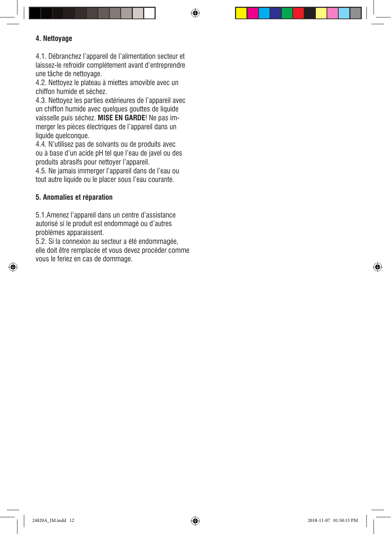#### **4. Nettoyage**

4.1. Débranchez l'appareil de l'alimentation secteur et laissez-le refroidir complètement avant d'entreprendre une tâche de nettoyage.

4.2. Nettoyez le plateau à miettes amovible avec un chiffon humide et séchez.

4.3. Nettoyez les parties extérieures de l'appareil avec un chiffon humide avec quelques gouttes de liquide vaisselle puis séchez. **MISE EN GARDE**! Ne pas immerger les pièces électriques de l'appareil dans un liquide quelconque.

4.4. N'utilisez pas de solvants ou de produits avec ou à base d'un acide pH tel que l'eau de javel ou des produits abrasifs pour nettoyer l'appareil.

4.5. Ne jamais immerger l'appareil dans de l'eau ou tout autre liquide ou le placer sous l'eau courante.

#### **5. Anomalies et réparation**

5.1.Amenez l'appareil dans un centre d'assistance autorisé si le produit est endommagé ou d'autres problèmes apparaissent.

5.2. Si la connexion au secteur a été endommagée, elle doit être remplacée et vous devez procéder comme vous le feriez en cas de dommage.



♠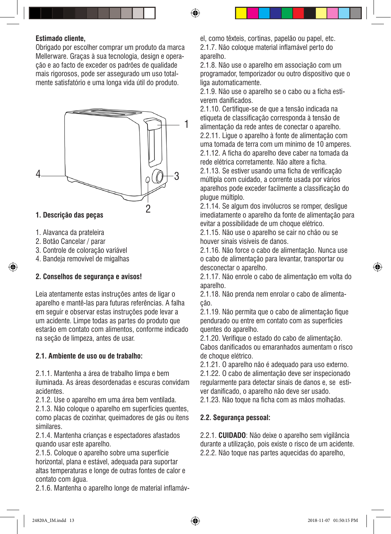#### **Estimado cliente,**

Obrigado por escolher comprar um produto da marca Mellerware. Graças à sua tecnologia, design e operação e ao facto de exceder os padrões de qualidade mais rigorosos, pode ser assegurado um uso totalmente satisfatório e uma longa vida útil do produto.



#### **1. Descrição das peças**

- 1. Alavanca da prateleira
- 2. Botão Cancelar / parar
- 3. Controle de coloração variável
- 4. Bandeja removível de migalhas

#### **2. Conselhos de segurança e avisos!**

Leia atentamente estas instruções antes de ligar o aparelho e mantê-las para futuras referências. A falha em seguir e observar estas instruções pode levar a um acidente. Limpe todas as partes do produto que estarão em contato com alimentos, conforme indicado na seção de limpeza, antes de usar.

#### **2.1. Ambiente de uso ou de trabalho:**

2.1.1. Mantenha a área de trabalho limpa e bem iluminada. As áreas desordenadas e escuras convidam acidentes.

2.1.2. Use o aparelho em uma área bem ventilada.

2.1.3. Não coloque o aparelho em superfícies quentes, como placas de cozinhar, queimadores de gás ou itens similares.

2.1.4. Mantenha crianças e espectadores afastados quando usar este aparelho.

2.1.5. Coloque o aparelho sobre uma superfície horizontal, plana e estável, adequada para suportar altas temperaturas e longe de outras fontes de calor e contato com água.

2.1.6. Mantenha o aparelho longe de material inflamáv-

el, como têxteis, cortinas, papelão ou papel, etc. 2.1.7. Não coloque material inflamável perto do aparelho.

2.1.8. Não use o aparelho em associação com um programador, temporizador ou outro dispositivo que o liga automaticamente.

2.1.9. Não use o aparelho se o cabo ou a ficha estiverem danificados.

2.1.10. Certifique-se de que a tensão indicada na etiqueta de classificação corresponda à tensão de alimentação da rede antes de conectar o aparelho. 2.2.11. Ligue o aparelho à fonte de alimentação com uma tomada de terra com um mínimo de 10 amperes. 2.1.12. A ficha do aparelho deve caber na tomada da rede elétrica corretamente. Não altere a ficha.

2.1.13. Se estiver usando uma ficha de verificação múltipla com cuidado, a corrente usada por vários aparelhos pode exceder facilmente a classificação do plugue múltiplo.

2.1.14. Se algum dos invólucros se romper, desligue imediatamente o aparelho da fonte de alimentação para evitar a possibilidade de um choque elétrico.

2.1.15. Não use o aparelho se cair no chão ou se houver sinais visíveis de danos.

2.1.16. Não force o cabo de alimentação. Nunca use o cabo de alimentação para levantar, transportar ou desconectar o aparelho.

2.1.17. Não enrole o cabo de alimentação em volta do aparelho.

2.1.18. Não prenda nem enrolar o cabo de alimentação.

2.1.19. Não permita que o cabo de alimentação fique pendurado ou entre em contato com as superfícies quentes do aparelho.

2.1.20. Verifique o estado do cabo de alimentação. Cabos danificados ou emaranhados aumentam o risco de choque elétrico.

2.1.21. O aparelho não é adequado para uso externo. 2.1.22. O cabo de alimentação deve ser inspecionado

regularmente para detectar sinais de danos e, se estiver danificado, o aparelho não deve ser usado.

2.1.23. Não toque na ficha com as mãos molhadas.

#### **2.2. Segurança pessoal:**

2.2.1. **CUIDADO**: Não deixe o aparelho sem vigilância durante a utilização, pois existe o risco de um acidente. 2.2.2. Não toque nas partes aquecidas do aparelho,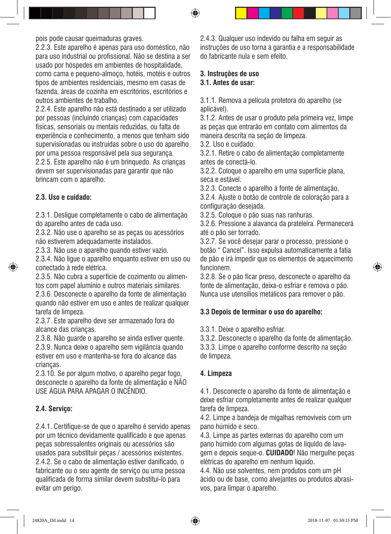pois pode causar queimaduras graves.

2.2.3. Este aparelho é apenas para uso doméstico, não para uso industrial ou profissional. Não se destina a ser usado por hóspedes em ambientes de hospitalidade, como cama e pequeno-almoço, hotéis, motéis e outros tipos de ambientes residenciais, mesmo em casas de fazenda, áreas de cozinha em escritórios, escritórios e outros ambientes de trabalho.

2.2.4. Este aparelho não está destinado a ser utilizado por pessoas (incluindo crianças) com capacidades físicas, sensoriais ou mentais reduzidas, ou falta de experiência e conhecimento, a menos que tenham sido supervisionadas ou instruídas sobre o uso do aparelho por uma pessoa responsável pela sua segurança. 2.2.5. Este aparelho não é um brinquedo. As crianças devem ser supervisionadas para garantir que não brincam com o aparelho.

#### **2.3. Uso e cuidado:**

2.3.1. Desligue completamente o cabo de alimentação do aparelho antes de cada uso.

2.3.2. Não use o aparelho se as peças ou acessórios não estiverem adequadamente instalados.

2.3.3. Não use o aparelho quando estiver vazio.

2.3.4. Não ligue o aparelho enquanto estiver em uso ou conectado à rede elétrica.

2.3.5. Não cubra a superfície de cozimento ou alimentos com papel alumínio e outros materiais similares.

2.3.6. Desconecte o aparelho da fonte de alimentação quando não estiver em uso e antes de realizar qualquer tarefa de limpeza.

2.3.7. Este aparelho deve ser armazenado fora do alcance das crianças.

2.3.8. Não guarde o aparelho se ainda estiver quente. 2.3.9. Nunca deixe o aparelho sem vigilância quando

estiver em uso e mantenha-se fora do alcance das crianças.

2.3.10. Se por algum motivo, o aparelho pegar fogo, desconecte o aparelho da fonte de alimentação e NÃO USE ÁGUA PARA APAGAR O INCÊNDIO.

#### **2.4. Serviço:**

2.4.1. Certifique-se de que o aparelho é servido apenas por um técnico devidamente qualificado e que apenas peças sobressalentes originais ou acessórios são usados para substituir peças / acessórios existentes. 2.4.2. Se o cabo de alimentação estiver danificado, o fabricante ou o seu agente de serviço ou uma pessoa qualificada de forma similar devem substituí-lo para evitar um perigo.

2.4.3. Qualquer uso indevido ou falha em seguir as instruções de uso torna a garantia e a responsabilidade do fabricante nula e sem efeito.

#### **3. Instruções de uso 3.1. Antes de usar:**

3.1.1. Remova a película protetora do aparelho (se aplicável).

3.1.2. Antes de usar o produto pela primeira vez, limpe as peças que entrarão em contato com alimentos da maneira descrita na seção de limpeza.

3.2. Uso e cuidado:

3.2.1. Retire o cabo de alimentação completamente antes de conectá-lo.

3.2.2. Coloque o aparelho em uma superfície plana, seca e estável.

3.2.3. Conecte o aparelho à fonte de alimentação.

3.2.4. Ajuste o botão de controle de coloração para a configuração desejada.

3.2.5. Coloque o pão suas nas ranhuras.

3.2.6. Pressione a alavanca da prateleira. Permanecerá até o pão ser torrado.

3.2.7. Se você desejar parar o processo, pressione o botão " Cancel". Isso expulsa automaticamente a fatia de pão e irá impedir que os elementos de aquecimento funcionem.

3.2.8. Se o pão ficar preso, desconecte o aparelho da fonte de alimentação, deixa-o esfriar e remova o pão. Nunca use utensílios metálicos para remover o pão.

#### **3.3 Depois de terminar o uso do aparelho:**

3.3.1. Deixe o aparelho esfriar.

3.3.2. Desconecte o aparelho da fonte de alimentação. 3.3.3. Limpe o aparelho conforme descrito na seção de limpeza.

#### **4. Limpeza**

4.1. Desconecte o aparelho da fonte de alimentação e deixe esfriar completamente antes de realizar qualquer tarefa de limpeza.

4.2. Limpe a bandeja de migalhas removíveis com um pano húmido e seco.

4.3. Limpe as partes externas do aparelho com um pano húmido com algumas gotas de líquido de lavagem e depois seque-o. **CUIDADO**! Não mergulhe peças elétricas do aparelho em nenhum líquido.

4.4. Não use solventes, nem produtos com um pH ácido ou de base, como alvejantes ou produtos abrasivos, para limpar o aparelho.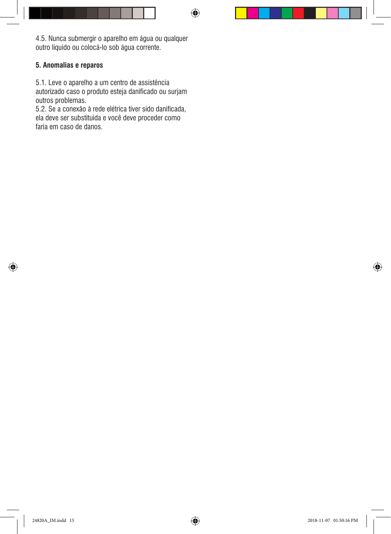4.5. Nunca submergir o aparelho em água ou qualquer outro líquido ou colocá-lo sob água corrente.

 $\bigcirc$ 

#### **5. Anomalias e reparos**

5.1. Leve o aparelho a um centro de assistência autorizado caso o produto esteja danificado ou surjam outros problemas.

5.2. Se a conexão à rede elétrica tiver sido danificada, ela deve ser substituída e você deve proceder como faria em caso de danos.

◈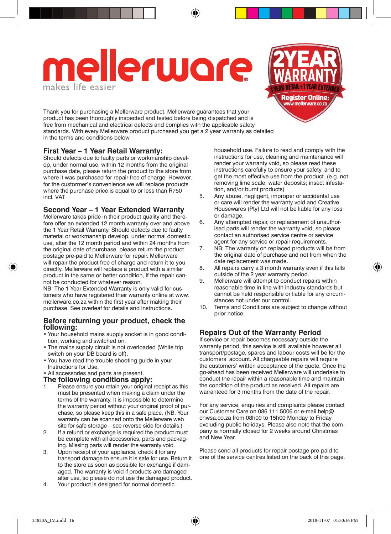# **Iellerware**

Thank you for purchasing a Mellerware product. Mellerware guarantees that your product has been thoroughly inspected and tested before being dispatched and is free from mechanical and electrical defects and complies with the applicable safety standards. With every Mellerware product purchased you get a 2 year warranty as detailed in the terms and conditions below.

#### **First Year – 1 Year Retail Warranty:**

Should defects due to faulty parts or workmanship develop, under normal use, within 12 months from the original purchase date, please return the product to the store from where it was purchased for repair free of charge. However, for the custormer's convenience we will replace products where the purchase price is equal to or less than R750 incl. VAT

#### **Second Year – 1 Year Extended Warranty**

Mellerware takes pride in their product quality and therefore offer an extended 12 month warranty over and above the 1 Year Retail Warranty. Should defects due to faulty material or workmanship develop, under normal domestic use, after the 12 month period and within 24 months from the original date of purchase, please return the product postage pre-paid to Mellerware for repair. Mellerware will repair the product free of charge and return it to you directly. Mellerware will replace a product with a similar product in the same or better condition, if the repair cannot be conducted for whatever reason.

NB: The 1 Year Extended Warranty is only valid for customers who have registered their warranty online at www. mellerware.co.za within the first year after making their purchase. See overleaf for details and instructions.

#### **Before returning your product, check the following:**

- • Your household mains supply socket is in good condition, working and switched on.
- The mains supply circuit is not overloaded (White trip switch on your DB board is off).
- • You have read the trouble shooting guide in your Instructions for Use.
- • All accessories and parts are present.

#### **The following conditions apply:**<br>1. Please ensure you retain your original

- Please ensure you retain your original receipt as this must be presented when making a claim under the terms of the warranty. It is impossible to determine the warranty period without your original proof of purchase, so please keep this in a safe place. (NB. Your warranty can be scanned onto the Mellerware web site for safe storage – see reverse side for details.)
- 2. If a refund or exchange is required the product must be complete with all accessories, parts and packaging. Missing parts will render the warranty void.
- 3. Upon receipt of your appliance, check it for any transport damage to ensure it is safe for use. Return it to the store as soon as possible for exchange if damaged. The warranty is void if products are damaged after use, so please do not use the damaged product.
- 4. Your product is designed for normal domestic

household use. Failure to read and comply with the instructions for use, cleaning and maintenance will render your warranty void, so please read these instructions carefully to ensure your safety, and to get the most effective use from the product. (e.g. not removing lime scale; water deposits; insect infestation, and/or burnt products)

**Register Online:** ww.mellerware.co.z

- 5. Any abuse, negligent, improper or accidental use or care will render the warranty void and Creative Housewares (Pty) Ltd will not be liable for any loss or damage.
- 6. Any attempted repair, or replacement of unauthorised parts will render the warranty void, so please contact an authorised service centre or service agent for any service or repair requirements.
- 7. NB: The warranty on replaced products will be from the original date of purchase and not from when the date replacement was made.
- 8. All repairs carry a 3 month warranty even if this falls outside of the 2 year warranty period.
- 9. Mellerware will attempt to conduct repairs within reasonable time in line with industry standards but cannot be held responsible or liable for any circumstances not under our control.
- 10. Terms and Conditions are subject to change without prior notice.

#### **Repairs Out of the Warranty Period**

If service or repair becomes necessary outside the warranty period, this service is still available however all transport/postage, spares and labour costs will be for the customers' account. All chargeable repairs will require the customers' written acceptance of the quote. Once the go-ahead has been received Mellerware will undertake to conduct the repair within a reasonable time and maintain the condition of the product as received. All repairs are warranteed for 3 months from the date of the repair.

For any service, enquiries and complaints please contact our Customer Care on 086 111 5006 or e-mail help**@** chwsa.co.za from 08h00 to 15h00 Monday to Friday excluding public holidays. Please also note that the company is normally closed for 2 weeks around Christmas and New Year.

Please send all products for repair postage pre-paid to one of the service centres listed on the back of this page.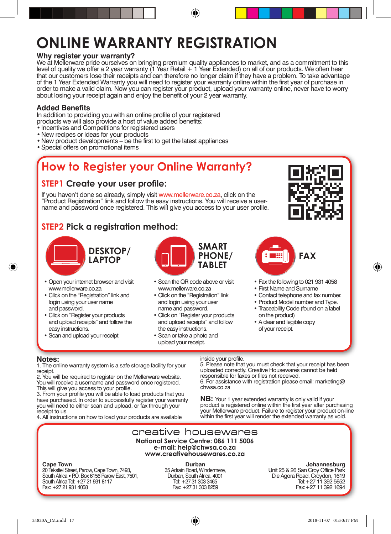## **ONLINE WARRANTY REGISTRATION**

#### **Why register your warranty?**

We at Mellerware pride ourselves on bringing premium quality appliances to market, and as a commitment to this level of quality we offer a 2 year warranty (1 Year Retail + 1 Year Extended) on all of our products. We often hear that our customers lose their receipts and can therefore no longer claim if they have a problem. To take advantage of the 1 Year Extended Warranty you will need to register your warranty online within the first year of purchase in order to make a valid claim. Now you can register your product, upload your warranty online, never have to worry about losing your receipt again and enjoy the benefit of your 2 year warranty.

⊕

#### **Added Benefits**

In addition to providing you with an online profile of your registered products we will also provide a host of value added benefits:

- Incentives and Competitions for registered users
- • New recipes or ideas for your products
- New product developments be the first to get the latest appliances
- Special offers on promotional items

### **How to Register your Online Warranty?**

#### **STEP1 Create your user profile:**

If you haven't done so already, simply visit www.mellerware.co.za, click on the "Product Registration" link and follow the easy instructions. You will receive a username and password once registered. This will give you access to your user profile.

#### **STEP2 Pick a registration method:**



- • Open your internet browser and visit www.mellerware.co.za
- Click on the "Registration" link and login using your user name and password.
- Click on "Register your products and upload receipts" and follow the easy instructions.
- Scan and upload your receipt



- Scan the QR code above or visit www.mellerware.co.za
- Click on the "Registration" link and login using your user name and password.
- Click on "Register your products and upload receipts" and follow the easy instructions.
- • Scan or take a photo and upload your receipt.





- Fax the following to 021 931 4058
- • First Name and Surname
- • Contact telephone and fax number.
- Product Model number and Type.
- Traceability Code (found on a label on the product)
- • A clear and legible copy of your receipt.

#### **Notes:**

◈

1. The online warranty system is a safe storage facility for your receipt.

2. You will be required to register on the Mellerware website. You will receive a username and password once registered. This will give you access to your profile.

3. From your profile you will be able to load products that you have purchased. In order to successfully register your warranty you will need to either scan and upload, or fax through your receipt to us.

4. All instructions on how to load your products are available

#### inside your profile.

5. Please note that you must check that your receipt has been uploaded correctly. Creative Housewares cannot be held responsible for faxes or files not received. 6. For assistance with registration please email: marketing**@** chwsa.co.za

**NB:** Your 1 year extended warranty is only valid if your product is registered online within the first year after purchasing your Mellerware product. Failure to register your product on-line within the first year will render the extended warranty as void.

#### creative housewares **National Service Centre: 086 111 5006 e-mail: help@chwsa.co.za www.creativehousewares.co.za**

#### **Cape Town**

20 Tekstiel Street, Parow, Cape Town, 7493, South Africa • PO. Box 6156 Parow East, 7501, South Africa Tel: +27 21 931 8117 Fax: +27 21 931 4058

**Durban**  35 Adrain Road, Windermere, Durban, South Africa, 4001 Tel: +27 31 303 3465 Fax: +27 31 303 8259

#### **Johannesburg**

Unit 25 & 26 San Croy Office Park Die Agora Road, Croydon, 1619 Tel:+27 11 392 5652 Fax:+27 11 392 1694

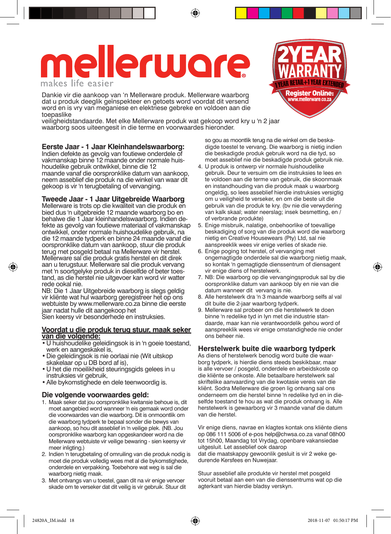## **lerware** makes life easier

Dankie vir die aankoop van 'n Mellerware produk. Mellerware waarborg dat u produk deeglik geïnspekteer en getoets word voordat dit versend word en is vry van meganiese en elektriese gebreke en voldoen aan die toepaslike

veiligheidstandaarde. Met elke Mellerware produk wat gekoop word kry u 'n 2 jaar waarborg soos uiteengesit in die terme en voorwaardes hieronder.

#### **Eerste Jaar - 1 Jaar Kleinhandelswaarborg:**

Indien defekte as gevolg van foutiewe onderdele of vakmanskap binne 12 maande onder normale huishoudelike gebruik ontwikkel, binne die 12 maande vanaf die oorspronklike datum van aankoop, neem asseblief die produk na die winkel van waar dit gekoop is vir 'n terugbetaling of vervanging.

#### **Tweede Jaar - 1 Jaar Uitgebreide Waarborg**

Mellerware is trots op die kwaliteit van die produk en bied dus 'n uitgebreide 12 maande waarborg bo en behalwe die 1 Jaar kleinhandelswaarborg. Indien defekte as gevolg van foutiewe materiaal of vakmanskap ontwikkel, onder normale huishoudelike gebruik, na die 12 maande tydperk en binne 24 maande vanaf die oorspronklike datum van aankoop, stuur die produk terug met posgeld betaal na Mellerware vir herstel. Mellerware sal die produk gratis herstel en dit direk aan u terugstuur. Mellerware sal die produk vervang met 'n soortgelyke produk in dieselfde of beter toestand, as die herstel nie uitgevoer kan word vir watter rede ookal nie.

NB: Die 1 Jaar Uitgebreide waarborg is slegs geldig vir kliënte wat hul waarborg geregistreer het op ons webtuiste by www.mellerware.co.za binne die eerste jaar nadat hulle dit aangekoop het

Sien keersy vir besonderhede en instruksies.

#### **Voordat u die produk terug stuur, maak seker van die volgende:**

- • U huishoudelike geleidingsok is in 'n goeie toestand, werk en aangeskakel is,
- • Die geleidingsok is nie oorlaai nie (Wit uitskop skakelaar op u DB bord af is),
- • U het die moeilikheid steuringsgids gelees in u instruksies vir gebruik,
- • Alle bykomstighede en dele teenwoordig is.

#### **Die volgende voorwaardes geld:**

- 1. Maak seker dat jou oorspronklike kwitansie behoue is, dit moet aangebied word wanneer 'n eis gemaak word onder die voorwaardes van die waarborg. Dit is onmoontlik om die waarborg tydperk te bepaal sonder die bewys van aankoop, so hou dit asseblief in 'n veilige plek. (NB. Jou oorspronklike waarborg kan opgeskandeer word na die Mellerware webtuiste vir veilige bewaring - sien keersy vir meer inligting.)
- 2. Indien 'n terugbetaling of omruiling van die produk nodig is moet die produk volledig wees met al die bykomstighede, onderdele en verpakking. Toebehore wat weg is sal die waarborg nietig maak.
- 3. Met ontvangs van u toestel, gaan dit na vir enige vervoer skade om te verseker dat dit veilig is vir gebruik. Stuur dit

**Register Online:** www.mellerware.co.za so gou as moontlik terug na die winkel om die beskadigde toestel te vervang. Die waarborg is nietig indien

- die beskadigde produk gebruik word na die tyd, so moet asseblief nie die beskadigde produk gebruik nie. 4. U produk is ontwerp vir normale huishoudelike
- gebruik. Deur te versuim om die instruksies te lees en te voldoen aan die terme van gebruik, die skoonmaak en instandhouding van die produk maak u waarborg ongeldig, so lees asseblief hierdie instruksies versigtig om u veiligheid te verseker, en om die beste uit die gebruik van die produk te kry. (bv nie die verwydering van kalk skaal; water neerslag; insek besmetting, en / of verbrande produkte)
- 5. Enige misbruik, nalatige, onbehoorlike of toevallige beskadiging of sorg van die produk word die waarborg nietig en Creative Housewears (Pty) Ltd, sal nie aanspreeklik wees vir enige verlies of skade nie.
- 6. Enige poging tot herstel, of vervanging met ongemagtigde onderdele sal die waarborg nietig maak, so kontak 'n gemagtigde dienssentrum of diensagent vir enige diens of herstelwerk.
- 7. NB: Die waarborg op die vervangingsproduk sal by die oorspronklike datum van aankoop bly en nie van die datum wanneer dit vervang is nie.
- 8. Alle herstelwerk dra 'n 3 maande waarborg selfs al val dit buite die 2-jaar waarborg tydperk.
- 9. Mellerware sal probeer om die herstelwerk te doen binne 'n redelike tyd in lyn met die industrie standaarde, maar kan nie verantwoordelik gehou word of aanspreeklik wees vir enige omstandighede nie onder ons beheer nie.

#### **Herstelwerk buite die waarborg tydperk**

As diens of herstelwerk benodig word buite die waarborg tydperk, is hierdie diens steeds beskikbaar, maar is alle vervoer / posgeld, onderdele en arbeidskoste op die kliënte se onkoste. Alle betaalbare herstelwerk sal skriftelike aanvaarding van die kwotasie vereis van die kliënt. Sodra Mellerware die groen lig ontvang sal ons onderneem om die herstel binne 'n redelike tyd en in dieselfde toestand te hou as wat die produk ontvang is. Alle herstelwerk is gewaarborg vir 3 maande vanaf die datum van die herstel.

Vir enige diens, navrae en klagtes kontak ons kliënte diens op 086 111 5006 of e-pos help**@**chwsa.co.za vanaf 08h00 tot 15h00, Maandag tot Vrydag, openbare vakansiedae uitgesluit. Let asseblief ook daarop

dat die maatskappy gewoonlik gesluit is vir 2 weke gedurende Kersfees en Nuwejaar.

Stuur asseblief alle produkte vir herstel met posgeld vooruit betaal aan een van die dienssentrums wat op die agterkant van hierdie bladsy verskyn.



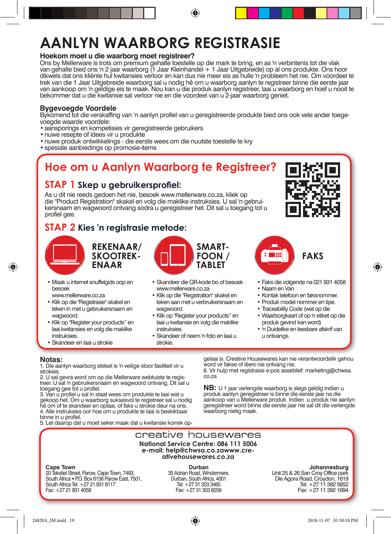## **AANLYN WAARBORG REGISTRASIE**

#### **Hoekom moet u die waarborg moet registreer?**

Ons by Mellerware is trots om premium gehalte toestelle op die mark te bring, en as 'n verbintenis tot die vlak van gehalte bied ons 'n 2 jaar waarborg (1 Jaar Kleinhandel + 1 Jaar Uitgebreide) op al ons produkte. Ons hoor dikwels dat ons kliënte hul kwitansies verloor en kan dus nie meer eis as hulle 'n probleem het nie. Om voordeel te trek van die 1 Jaar Uitgebreide waarborg sal u nodig hê om u waarborg aanlyn te registreer binne die eerste jaar van aankoop om 'n geldige eis te maak. Nou kan u die produk aanlyn registreer, laai u waarborg en hoef u nooit te bekommer dat u die kwitansie sal verloor nie en die voordeel van u 2-jaar waarborg geniet.

⊕

#### **Bygevoegde Voordele**

Bykomend tot die verskaffing van 'n aanlyn profiel van u geregistreerde produkte bied ons ook vele ander toegevoegde waarde voordele:

- aansporings en kompetisies vir geregistreerde gebruikers
- nuwe resepte of idees vir u produkte
- • nuwe produk ontwikkelings die eerste wees om die nuutste toestelle te kry
- spesiale aanbiedings op promosie-items

## **Hoe om u Aanlyn Waarborg te Registreer?**

#### **STAP 1 Skep u gebruikersprofiel:**

As u dit nie reeds gedoen het nie, besoek www.mellerware.co.za, kliek op die "Product Registration" skakel en volg die maklike instruksies. U sal 'n gebruikersnaam en wagwoord ontvang sodra u geregistreer het. Dit sal u toegang tot u profiel gee.

#### **STAP 2 Kies 'n registrasie metode:**



◈

**REKENAAR/ SKOOTREK-ENAAR**

• Maak u internet snuffelgids oop en besoek

www.mellerware.co.za

- • Klik op die "Registrasie" skakel en teken in met u gebruikersnaam en wagwoord.
- • Klik op "Register your products" en laai kwitansies en volg die maklike instruksies.
- Skandeer en laai u strokie



- • Skandeer die QR-kode bo of besoek www.mellerware.co.za
- • Klik op die "Registration" skakel en teken aan met u verbruikersnaam en wagwoord.
- • Klik op "Register your products" en laai u kwitansie en volg die maklike instruksies.
- • Skandeer of neem 'n foto en laai u strokie.





• Faks die volgende na 021 931 4058

◈

- • Naam en Van
- • Kontak telefoon en faksnommer.
- Produk model nommer en tipe.
- • Traceability Code (wat op die
- • Waarborgkaart of op 'n etiket op die produk gevind kan word)
- • 'n Duidelike en leesbare afskrif van u ontvangs.

**Notas:**

1. Die aanlyn waarborg stelsel is 'n veilige stoor fasiliteit vir u strokies.<br>2. U sal gevra word om op die Mellerware webtuiste te regis-

2. U sal gevra word om op die Mellerware webtuiste te regis- treer. U sal 'n gebruikersnaam en wagwoord ontvang. Dit sal u toegang gee tot u profiel.

3. Van u profiel u sal in staat wees om produkte te laai wat u gekoop het. Om u waarborg suksesvol te registreer sal u nodig hê om of te skandeer en oplaai, of faks u strokie deur na ons. 4. Alle instruksies oor hoe om u produkte te laai is beskikbaar binne in u profiel.

5. Let daarop dat u moet seker maak dat u kwitansie korrek op-

gelaai is. Creative Housewares kan nie verantwoordelik gehou word vir fakse of lêers nie ontvang nie.

6. Vir hulp met registrasie e-pos asseblief: marketing**@**chwsa. co.za

**NB:** U 1 jaar verlengde waarborg is slegs geldig indien u produk aanlyn geregistreer is binne die eerste jaar na die aankoop van u Mellerware produk. Indien u produk nie aanlyn geregistreer word binne die eerste jaar nie sal dit die verlengde waarborg nietig maak.

#### creative housewares **National Service Centre: 086 111 5006 e-mail: help@chwsa.co.zawww.cre- ativehousewares.co.za**

#### **Cape Town**

20 Tekstiel Street, Parow, Cape Town, 7493, South Africa • P.O. Box 6156 Parow East, 7501, South Africa Tel: +27 21 931 8117 Fax: +27 21 931 4058

**Durban**  35 Adrian Road, Windermere, Durban, South Africa, 4001 Tel: +27 31 303 3465 Fax: +27 31 303 8259

#### **Johannesburg**

Unit 25 & 26 San Croy Office park Die Agora Road, Croydon, 1619 Tel: +27 11 392 5652 Fax: +27 11 392 1694